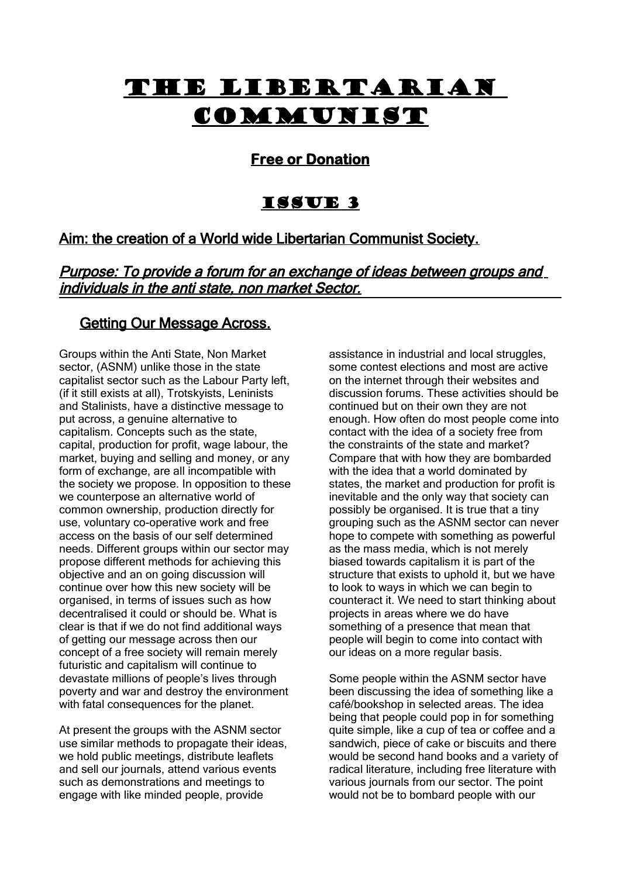# The Libertarian **COMMUNIST**

# **Free or Donation**

# Issue 3

# Aim: the creation of a World wide Libertarian Communist Society.

Purpose: To provide a forum for an exchange of ideas between groups and individuals in the anti state, non market Sector.

# Getting Our Message Across.

Groups within the Anti State, Non Market sector, (ASNM) unlike those in the state capitalist sector such as the Labour Party left, (if it still exists at all), Trotskyists, Leninists and Stalinists, have a distinctive message to put across, a genuine alternative to capitalism. Concepts such as the state, capital, production for profit, wage labour, the market, buying and selling and money, or any form of exchange, are all incompatible with the society we propose. In opposition to these we counterpose an alternative world of common ownership, production directly for use, voluntary co-operative work and free access on the basis of our self determined needs. Different groups within our sector may propose different methods for achieving this objective and an on going discussion will continue over how this new society will be organised, in terms of issues such as how decentralised it could or should be. What is clear is that if we do not find additional ways of getting our message across then our concept of a free society will remain merely futuristic and capitalism will continue to devastate millions of people's lives through poverty and war and destroy the environment with fatal consequences for the planet.

At present the groups with the ASNM sector use similar methods to propagate their ideas, we hold public meetings, distribute leaflets and sell our journals, attend various events such as demonstrations and meetings to engage with like minded people, provide

assistance in industrial and local struggles, some contest elections and most are active on the internet through their websites and discussion forums. These activities should be continued but on their own they are not enough. How often do most people come into contact with the idea of a society free from the constraints of the state and market? Compare that with how they are bombarded with the idea that a world dominated by states, the market and production for profit is inevitable and the only way that society can possibly be organised. It is true that a tiny grouping such as the ASNM sector can never hope to compete with something as powerful as the mass media, which is not merely biased towards capitalism it is part of the structure that exists to uphold it, but we have to look to ways in which we can begin to counteract it. We need to start thinking about projects in areas where we do have something of a presence that mean that people will begin to come into contact with our ideas on a more regular basis.

Some people within the ASNM sector have been discussing the idea of something like a café/bookshop in selected areas. The idea being that people could pop in for something quite simple, like a cup of tea or coffee and a sandwich, piece of cake or biscuits and there would be second hand books and a variety of radical literature, including free literature with various journals from our sector. The point would not be to bombard people with our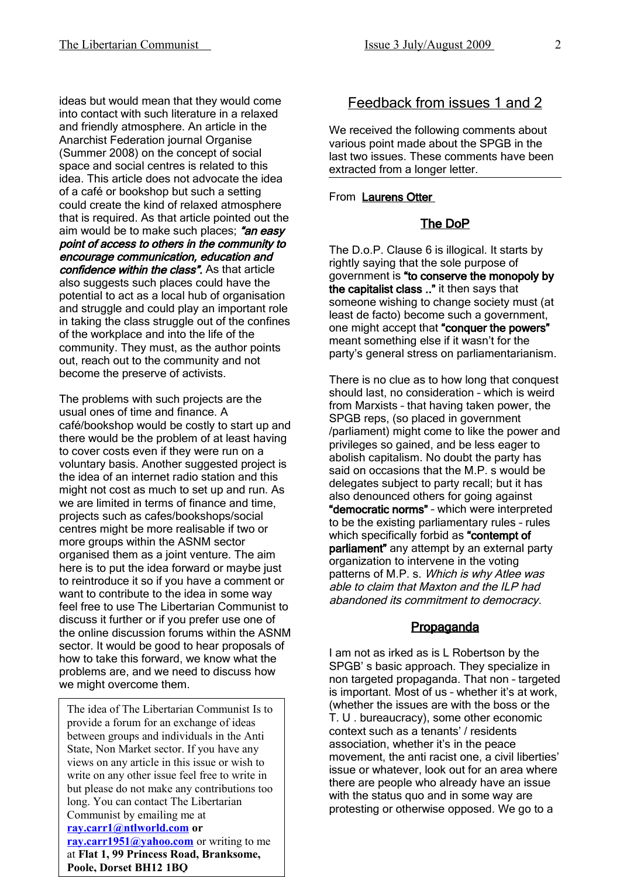ideas but would mean that they would come into contact with such literature in a relaxed and friendly atmosphere. An article in the Anarchist Federation journal Organise (Summer 2008) on the concept of social space and social centres is related to this idea. This article does not advocate the idea of a café or bookshop but such a setting could create the kind of relaxed atmosphere that is required. As that article pointed out the aim would be to make such places; "an easy point of access to others in the community to encourage communication, education and confidence within the class". As that article also suggests such places could have the potential to act as a local hub of organisation and struggle and could play an important role in taking the class struggle out of the confines of the workplace and into the life of the community. They must, as the author points out, reach out to the community and not become the preserve of activists.

The problems with such projects are the usual ones of time and finance. A café/bookshop would be costly to start up and there would be the problem of at least having to cover costs even if they were run on a voluntary basis. Another suggested project is the idea of an internet radio station and this might not cost as much to set up and run. As we are limited in terms of finance and time, projects such as cafes/bookshops/social centres might be more realisable if two or more groups within the ASNM sector organised them as a joint venture. The aim here is to put the idea forward or maybe just to reintroduce it so if you have a comment or want to contribute to the idea in some way feel free to use The Libertarian Communist to discuss it further or if you prefer use one of the online discussion forums within the ASNM sector. It would be good to hear proposals of how to take this forward, we know what the problems are, and we need to discuss how we might overcome them.

The idea of The Libertarian Communist Is to provide a forum for an exchange of ideas between groups and individuals in the Anti State, Non Market sector. If you have any views on any article in this issue or wish to write on any other issue feel free to write in but please do not make any contributions too long. You can contact The Libertarian Communist by emailing me at **[ray.carr1@ntlworld.com](mailto:ray.carr1@ntlworld.com) or [ray.carr1951@yahoo.com](mailto:ray.carr1951@yahoo.com)** or writing to me at **Flat 1, 99 Princess Road, Branksome, Poole, Dorset BH12 1BQ**

# Feedback from issues 1 and 2

We received the following comments about various point made about the SPGB in the last two issues. These comments have been extracted from a longer letter.

## From **Laurens Otter**

## The DoP

The D.o.P. Clause 6 is illogical. It starts by rightly saying that the sole purpose of government is "to conserve the monopoly by the capitalist class .." it then says that someone wishing to change society must (at least de facto) become such a government, one might accept that "conquer the powers" meant something else if it wasn't for the party's general stress on parliamentarianism.

There is no clue as to how long that conquest should last, no consideration – which is weird from Marxists – that having taken power, the SPGB reps, (so placed in government /parliament) might come to like the power and privileges so gained, and be less eager to abolish capitalism. No doubt the party has said on occasions that the M.P. s would be delegates subject to party recall; but it has also denounced others for going against "democratic norms" – which were interpreted to be the existing parliamentary rules – rules which specifically forbid as "contempt of parliament" any attempt by an external party organization to intervene in the voting patterns of M.P. s. Which is why Atlee was able to claim that Maxton and the ILP had abandoned its commitment to democracy.

## **Propaganda**

I am not as irked as is L Robertson by the SPGB' s basic approach. They specialize in non targeted propaganda. That non – targeted is important. Most of us – whether it's at work, (whether the issues are with the boss or the T. U . bureaucracy), some other economic context such as a tenants' / residents association, whether it's in the peace movement, the anti racist one, a civil liberties' issue or whatever, look out for an area where there are people who already have an issue with the status quo and in some way are protesting or otherwise opposed. We go to a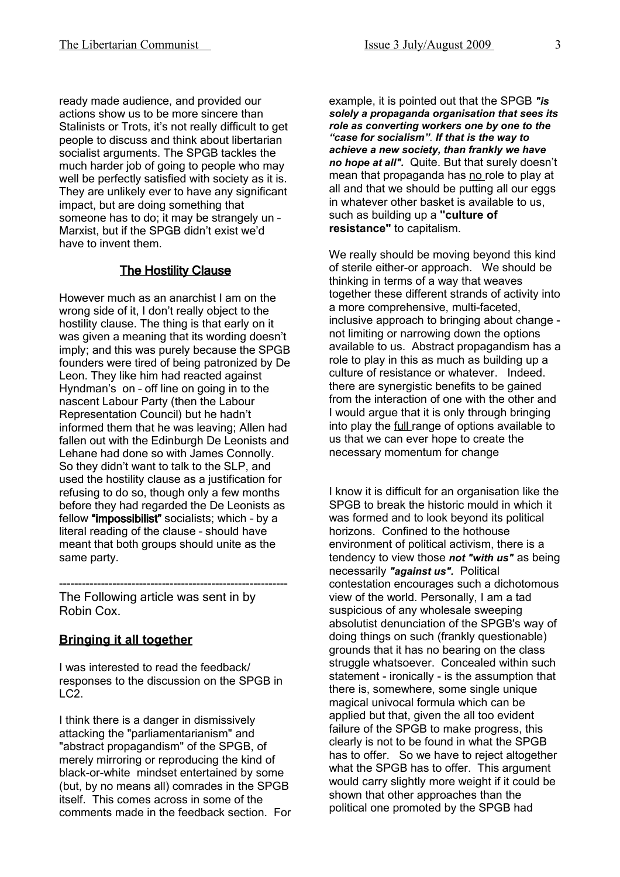ready made audience, and provided our actions show us to be more sincere than Stalinists or Trots, it's not really difficult to get people to discuss and think about libertarian socialist arguments. The SPGB tackles the much harder job of going to people who may well be perfectly satisfied with society as it is. They are unlikely ever to have any significant impact, but are doing something that someone has to do; it may be strangely un – Marxist, but if the SPGB didn't exist we'd have to invent them.

## The Hostility Clause

However much as an anarchist I am on the wrong side of it, I don't really object to the hostility clause. The thing is that early on it was given a meaning that its wording doesn't imply; and this was purely because the SPGB founders were tired of being patronized by De Leon. They like him had reacted against Hyndman's on – off line on going in to the nascent Labour Party (then the Labour Representation Council) but he hadn't informed them that he was leaving; Allen had fallen out with the Edinburgh De Leonists and Lehane had done so with James Connolly. So they didn't want to talk to the SLP, and used the hostility clause as a justification for refusing to do so, though only a few months before they had regarded the De Leonists as fellow "impossibilist" socialists; which – by a literal reading of the clause – should have meant that both groups should unite as the same party.

The Following article was sent in by Robin Cox.

------------------------------------------------------------

### **Bringing it all together**

I was interested to read the feedback/ responses to the discussion on the SPGB in LC2.

I think there is a danger in dismissively attacking the "parliamentarianism" and "abstract propagandism" of the SPGB, of merely mirroring or reproducing the kind of black-or-white mindset entertained by some (but, by no means all) comrades in the SPGB itself. This comes across in some of the comments made in the feedback section. For example, it is pointed out that the SPGB *"is solely a propaganda organisation that sees its role as converting workers one by one to the "case for socialism". If that is the way to achieve a new society, than frankly we have no hope at all".* Quite. But that surely doesn't mean that propaganda has no role to play at all and that we should be putting all our eggs in whatever other basket is available to us, such as building up a **"culture of resistance"** to capitalism.

We really should be moving beyond this kind of sterile either-or approach. We should be thinking in terms of a way that weaves together these different strands of activity into a more comprehensive, multi-faceted, inclusive approach to bringing about change not limiting or narrowing down the options available to us. Abstract propagandism has a role to play in this as much as building up a culture of resistance or whatever. Indeed. there are synergistic benefits to be gained from the interaction of one with the other and I would argue that it is only through bringing into play the full range of options available to us that we can ever hope to create the necessary momentum for change

I know it is difficult for an organisation like the SPGB to break the historic mould in which it was formed and to look beyond its political horizons. Confined to the hothouse environment of political activism, there is a tendency to view those *not "with us"* as being necessarily *"against us".* Political contestation encourages such a dichotomous view of the world. Personally, I am a tad suspicious of any wholesale sweeping absolutist denunciation of the SPGB's way of doing things on such (frankly questionable) grounds that it has no bearing on the class struggle whatsoever. Concealed within such statement - ironically - is the assumption that there is, somewhere, some single unique magical univocal formula which can be applied but that, given the all too evident failure of the SPGB to make progress, this clearly is not to be found in what the SPGB has to offer. So we have to reject altogether what the SPGB has to offer. This argument would carry slightly more weight if it could be shown that other approaches than the political one promoted by the SPGB had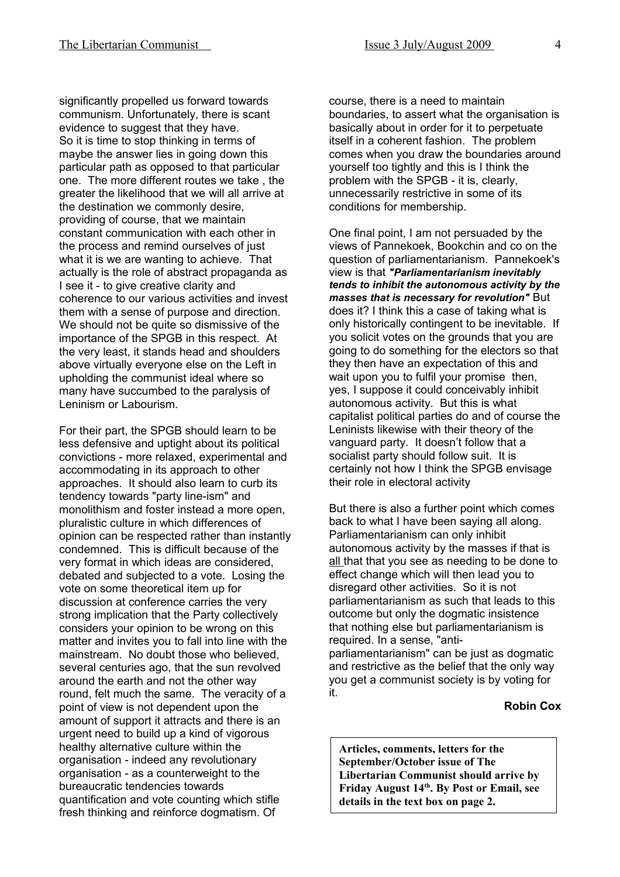significantly propelled us forward towards communism. Unfortunately, there is scant evidence to suggest that they have. So it is time to stop thinking in terms of maybe the answer lies in going down this particular path as opposed to that particular one. The more different routes we take , the greater the likelihood that we will all arrive at the destination we commonly desire, providing of course, that we maintain constant communication with each other in the process and remind ourselves of just what it is we are wanting to achieve. That actually is the role of abstract propaganda as I see it - to give creative clarity and coherence to our various activities and invest them with a sense of purpose and direction. We should not be quite so dismissive of the importance of the SPGB in this respect. At the very least, it stands head and shoulders above virtually everyone else on the Left in upholding the communist ideal where so many have succumbed to the paralysis of Leninism or Labourism.

For their part, the SPGB should learn to be less defensive and uptight about its political convictions - more relaxed, experimental and accommodating in its approach to other approaches. It should also learn to curb its tendency towards "party line-ism" and monolithism and foster instead a more open, pluralistic culture in which differences of opinion can be respected rather than instantly condemned. This is difficult because of the very format in which ideas are considered, debated and subjected to a vote. Losing the vote on some theoretical item up for discussion at conference carries the very strong implication that the Party collectively considers your opinion to be wrong on this matter and invites you to fall into line with the mainstream. No doubt those who believed, several centuries ago, that the sun revolved around the earth and not the other way round, felt much the same. The veracity of a point of view is not dependent upon the amount of support it attracts and there is an urgent need to build up a kind of vigorous healthy alternative culture within the organisation - indeed any revolutionary organisation - as a counterweight to the bureaucratic tendencies towards quantification and vote counting which stifle fresh thinking and reinforce dogmatism. Of

course, there is a need to maintain boundaries, to assert what the organisation is basically about in order for it to perpetuate itself in a coherent fashion. The problem comes when you draw the boundaries around yourself too tightly and this is I think the problem with the SPGB - it is, clearly, unnecessarily restrictive in some of its conditions for membership.

One final point, I am not persuaded by the views of Pannekoek, Bookchin and co on the question of parliamentarianism. Pannekoek's view is that *"Parliamentarianism inevitably tends to inhibit the autonomous activity by the masses that is necessary for revolution"* But does it? I think this a case of taking what is only historically contingent to be inevitable. If you solicit votes on the grounds that you are going to do something for the electors so that they then have an expectation of this and wait upon you to fulfil your promise then, yes, I suppose it could conceivably inhibit autonomous activity. But this is what capitalist political parties do and of course the Leninists likewise with their theory of the vanguard party. It doesn't follow that a socialist party should follow suit. It is certainly not how I think the SPGB envisage their role in electoral activity

But there is also a further point which comes back to what I have been saying all along. Parliamentarianism can only inhibit autonomous activity by the masses if that is all that that you see as needing to be done to effect change which will then lead you to disregard other activities. So it is not parliamentarianism as such that leads to this outcome but only the dogmatic insistence that nothing else but parliamentarianism is required. In a sense, "antiparliamentarianism" can be just as dogmatic and restrictive as the belief that the only way you get a communist society is by voting for it.

#### **Robin Cox**

**Articles, comments, letters for the September/October issue of The Libertarian Communist should arrive by Friday August 14th. By Post or Email, see details in the text box on page 2.**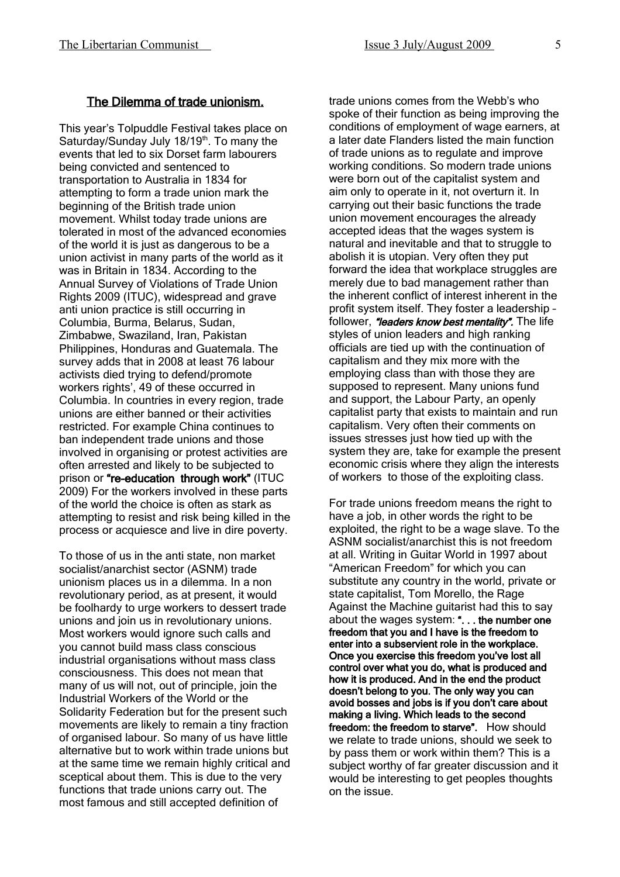#### The Dilemma of trade unionism.

This year's Tolpuddle Festival takes place on Saturday/Sunday July 18/19<sup>th</sup>. To many the events that led to six Dorset farm labourers being convicted and sentenced to transportation to Australia in 1834 for attempting to form a trade union mark the beginning of the British trade union movement. Whilst today trade unions are tolerated in most of the advanced economies of the world it is just as dangerous to be a union activist in many parts of the world as it was in Britain in 1834. According to the Annual Survey of Violations of Trade Union Rights 2009 (ITUC), widespread and grave anti union practice is still occurring in Columbia, Burma, Belarus, Sudan, Zimbabwe, Swaziland, Iran, Pakistan Philippines, Honduras and Guatemala. The survey adds that in 2008 at least 76 labour activists died trying to defend/promote workers rights', 49 of these occurred in Columbia. In countries in every region, trade unions are either banned or their activities restricted. For example China continues to ban independent trade unions and those involved in organising or protest activities are often arrested and likely to be subjected to prison or "re-education through work" (ITUC 2009) For the workers involved in these parts of the world the choice is often as stark as attempting to resist and risk being killed in the process or acquiesce and live in dire poverty.

To those of us in the anti state, non market socialist/anarchist sector (ASNM) trade unionism places us in a dilemma. In a non revolutionary period, as at present, it would be foolhardy to urge workers to dessert trade unions and join us in revolutionary unions. Most workers would ignore such calls and you cannot build mass class conscious industrial organisations without mass class consciousness. This does not mean that many of us will not, out of principle, join the Industrial Workers of the World or the Solidarity Federation but for the present such movements are likely to remain a tiny fraction of organised labour. So many of us have little alternative but to work within trade unions but at the same time we remain highly critical and sceptical about them. This is due to the very functions that trade unions carry out. The most famous and still accepted definition of

trade unions comes from the Webb's who spoke of their function as being improving the conditions of employment of wage earners, at a later date Flanders listed the main function of trade unions as to regulate and improve working conditions. So modern trade unions were born out of the capitalist system and aim only to operate in it, not overturn it. In carrying out their basic functions the trade union movement encourages the already accepted ideas that the wages system is natural and inevitable and that to struggle to abolish it is utopian. Very often they put forward the idea that workplace struggles are merely due to bad management rather than the inherent conflict of interest inherent in the profit system itself. They foster a leadership – follower, "leaders know best mentality". The life styles of union leaders and high ranking officials are tied up with the continuation of capitalism and they mix more with the employing class than with those they are supposed to represent. Many unions fund and support, the Labour Party, an openly capitalist party that exists to maintain and run capitalism. Very often their comments on issues stresses just how tied up with the system they are, take for example the present economic crisis where they align the interests of workers to those of the exploiting class.

For trade unions freedom means the right to have a job, in other words the right to be exploited, the right to be a wage slave. To the ASNM socialist/anarchist this is not freedom at all. Writing in Guitar World in 1997 about "American Freedom" for which you can substitute any country in the world, private or state capitalist, Tom Morello, the Rage Against the Machine guitarist had this to say about the wages system: "... the number one freedom that you and I have is the freedom to enter into a subservient role in the workplace. Once you exercise this freedom you've lost all control over what you do, what is produced and how it is produced. And in the end the product doesn't belong to you. The only way you can avoid bosses and jobs is if you don't care about making a living. Which leads to the second freedom: the freedom to starve". How should we relate to trade unions, should we seek to by pass them or work within them? This is a subject worthy of far greater discussion and it would be interesting to get peoples thoughts on the issue.